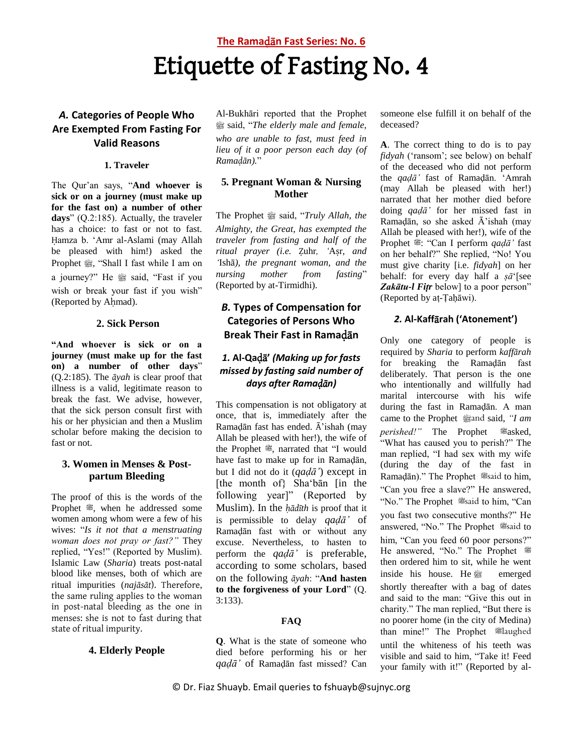# **The Rama**ḍā**n Fast Series: No. 6** Etiquette of Fasting No. 4

# *A.* **Categories of People Who Are Exempted From Fasting For Valid Reasons**

#### **1. Traveler**

The Qur'an says, "**And whoever is sick or on a journey (must make up for the fast on) a number of other days**" (Q.2:185). Actually, the traveler has a choice: to fast or not to fast. Ḥamza b. 'Amr al-Aslami (may Allah be pleased with him!) asked the Prophet . "Shall I fast while I am on a journey?" He # said, "Fast if you wish or break your fast if you wish" (Reported by Ahmad).

#### **2. Sick Person**

**"And whoever is sick or on a journey (must make up for the fast on) a number of other days**" (Q.2:185). The *āyah* is clear proof that illness is a valid, legitimate reason to break the fast. We advise, however, that the sick person consult first with his or her physician and then a Muslim scholar before making the decision to fast or not.

### **3. Women in Menses & Postpartum Bleeding**

The proof of this is the words of the Prophet . when he addressed some women among whom were a few of his wives: "*Is it not that a menstruating woman does not pray or fast?"* They replied, "Yes!" (Reported by Muslim). Islamic Law (*Sharia*) treats post-natal blood like menses, both of which are ritual impurities (*najāsāt*). Therefore, the same ruling applies to the woman in post-natal bleeding as the one in menses: she is not to fast during that state of ritual impurity.

#### **4. Elderly People**

Al-Bukhāri reported that the Prophet صلى الله عليه وسلم said, "*The elderly male and female, who are unable to fast, must feed in lieu of it a poor person each day (of Ramaḍān).*"

## **5***.* **Pregnant Woman & Nursing Mother**

The Prophet  $\frac{dx}{dx}$  said, "*Truly Allah, the Almighty, the Great, has exempted the traveler from fasting and half of the ritual prayer (i.e.* Ẓuhr*, '*Aṣr*, and '*Ishā*), the pregnant woman, and the nursing mother from fasting*" (Reported by at-Tirmidhi).

## *B.* **Types of Compensation for Categories of Persons Who Break Their Fast in Rama**ḍā**n**

## *1.* **Al-Qa**ḍā**'** *(Making up for fasts missed by fasting said number of days after Ramaḍān)*

This compensation is not obligatory at once, that is, immediately after the Ramaḍān fast has ended. Ā'ishah (may Allah be pleased with her!), the wife of the Prophet . narrated that "I would have fast to make up for in Ramaḍān, but I did not do it (*qaḍā'*) except in [the month of} Sha'bān [in the following year]" (Reported by Muslim). In the *ḥādīth* is proof that it is permissible to delay *qaḍā'* of Ramaḍān fast with or without any excuse. Nevertheless, to hasten to perform the *qaḍā'* is preferable, according to some scholars, based on the following *āyah*: "**And hasten to the forgiveness of your Lord**" (Q. 3:133).

#### **FAQ**

**Q**. What is the state of someone who died before performing his or her *qaḍā'* of Ramaḍān fast missed? Can someone else fulfill it on behalf of the deceased?

**A**. The correct thing to do is to pay *fidyah* ('ransom'; see below) on behalf of the deceased who did not perform the *qaḍā'* fast of Ramaḍān. 'Amrah (may Allah be pleased with her!) narrated that her mother died before doing *qaḍā'* for her missed fast in Ramaḍān, so she asked Ā'ishah (may Allah be pleased with her!), wife of the Prophet <sup>2</sup>: "Can I perform *qaḍā'* fast on her behalf?" She replied, "No! You must give charity [i.e. *fidyah*] on her behalf: for every day half a *ṣā*'[see Zakātu-l Fitr below] to a poor person" (Reported by aṭ-Ṭaḥāwi).

### *2.* **Al-Kaff**ā**rah ('Atonement')**

Only one category of people is required by *Sharia* to perform *kaffārah* for breaking the Ramaḍān fast deliberately. That person is the one who intentionally and willfully had marital intercourse with his wife during the fast in Ramaḍān. A man came to the Prophet said, "I am *perished!"* The Prophet #asked, "What has caused you to perish?" The man replied, "I had sex with my wife (during the day of the fast in Ramaḍān)." The Prophet said to him, "Can you free a slave?" He answered, "No." The Prophet Straid to him, "Can you fast two consecutive months?" He answered, "No." The Prophet said to him, "Can you feed 60 poor persons?" He answered, "No." The Prophet  $#$ then ordered him to sit, while he went inside his house. He  $\frac{dx}{dx}$  emerged shortly thereafter with a bag of dates and said to the man: "Give this out in charity." The man replied, "But there is no poorer home (in the city of Medina) than mine!" The Prophet salaughed until the whiteness of his teeth was visible and said to him, "Take it! Feed your family with it!" (Reported by al-